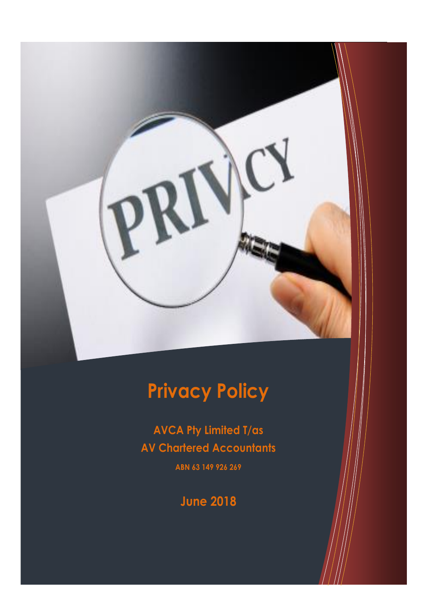

# **Privacy Policy**

**AVCA Pty Limited T/as AV Chartered Accountants ABN 63 149 926 269**

**June 2018**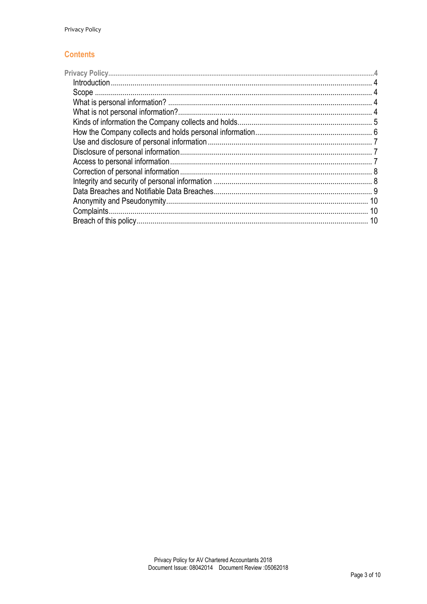#### **Contents**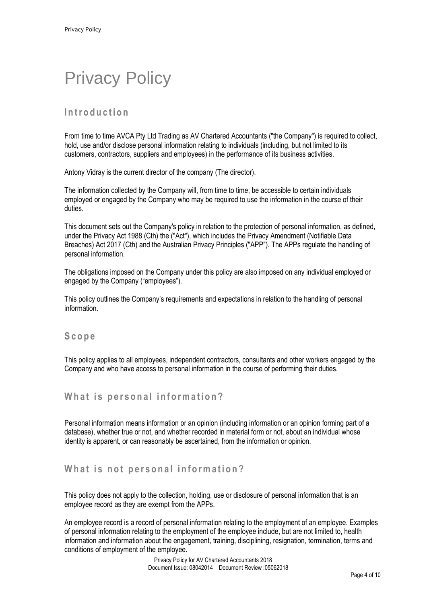# <span id="page-3-0"></span>Privacy Policy

# <span id="page-3-1"></span>**I n t r o d u c t i o n**

From time to time AVCA Pty Ltd Trading as AV Chartered Accountants ("the Company") is required to collect, hold, use and/or disclose personal information relating to individuals (including, but not limited to its customers, contractors, suppliers and employees) in the performance of its business activities.

Antony Vidray is the current director of the company (The director).

The information collected by the Company will, from time to time, be accessible to certain individuals employed or engaged by the Company who may be required to use the information in the course of their duties.

This document sets out the Company's policy in relation to the protection of personal information, as defined, under the Privacy Act 1988 (Cth) the ("Act"), which includes the Privacy Amendment (Notifiable Data Breaches) Act 2017 (Cth) and the Australian Privacy Principles ("APP"). The APPs regulate the handling of personal information.

The obligations imposed on the Company under this policy are also imposed on any individual employed or engaged by the Company ("employees").

This policy outlines the Company's requirements and expectations in relation to the handling of personal information.

#### <span id="page-3-2"></span>**S c o p e**

This policy applies to all employees, independent contractors, consultants and other workers engaged by the Company and who have access to personal information in the course of performing their duties.

#### <span id="page-3-3"></span>What is personal information?

Personal information means information or an opinion (including information or an opinion forming part of a database), whether true or not, and whether recorded in material form or not, about an individual whose identity is apparent, or can reasonably be ascertained, from the information or opinion.

#### <span id="page-3-4"></span>**What is not personal information?**

This policy does not apply to the collection, holding, use or disclosure of personal information that is an employee record as they are exempt from the APPs.

An employee record is a record of personal information relating to the employment of an employee. Examples of personal information relating to the employment of the employee include, but are not limited to, health information and information about the engagement, training, disciplining, resignation, termination, terms and conditions of employment of the employee.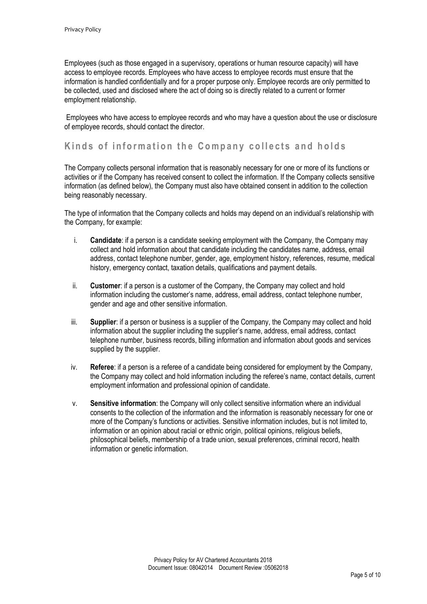Employees (such as those engaged in a supervisory, operations or human resource capacity) will have access to employee records. Employees who have access to employee records must ensure that the information is handled confidentially and for a proper purpose only. Employee records are only permitted to be collected, used and disclosed where the act of doing so is directly related to a current or former employment relationship.

Employees who have access to employee records and who may have a question about the use or disclosure of employee records, should contact the director.

#### <span id="page-4-0"></span>**Kinds of information the Company collects and holds**

The Company collects personal information that is reasonably necessary for one or more of its functions or activities or if the Company has received consent to collect the information. If the Company collects sensitive information (as defined below), the Company must also have obtained consent in addition to the collection being reasonably necessary.

The type of information that the Company collects and holds may depend on an individual's relationship with the Company, for example:

- i. **Candidate**: if a person is a candidate seeking employment with the Company, the Company may collect and hold information about that candidate including the candidates name, address, email address, contact telephone number, gender, age, employment history, references, resume, medical history, emergency contact, taxation details, qualifications and payment details.
- ii. **Customer**: if a person is a customer of the Company, the Company may collect and hold information including the customer's name, address, email address, contact telephone number, gender and age and other sensitive information.
- iii. **Supplier**: if a person or business is a supplier of the Company, the Company may collect and hold information about the supplier including the supplier's name, address, email address, contact telephone number, business records, billing information and information about goods and services supplied by the supplier.
- iv. **Referee**: if a person is a referee of a candidate being considered for employment by the Company, the Company may collect and hold information including the referee's name, contact details, current employment information and professional opinion of candidate.
- v. **Sensitive information**: the Company will only collect sensitive information where an individual consents to the collection of the information and the information is reasonably necessary for one or more of the Company's functions or activities. Sensitive information includes, but is not limited to, information or an opinion about racial or ethnic origin, political opinions, religious beliefs, philosophical beliefs, membership of a trade union, sexual preferences, criminal record, health information or genetic information.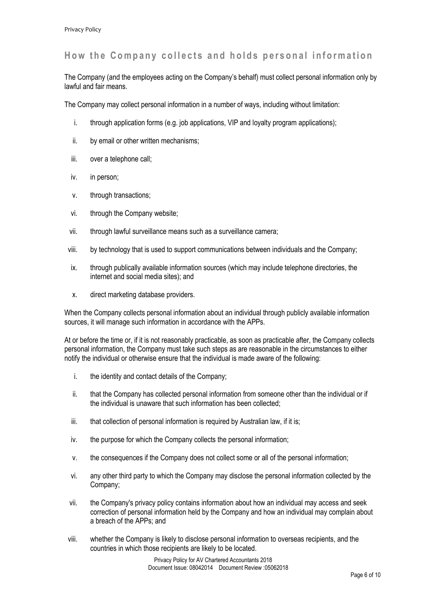# <span id="page-5-0"></span>How the Company collects and holds personal information

The Company (and the employees acting on the Company's behalf) must collect personal information only by lawful and fair means.

The Company may collect personal information in a number of ways, including without limitation:

- i. through application forms (e.g. job applications, VIP and loyalty program applications);
- ii. by email or other written mechanisms;
- iii. over a telephone call;
- iv. in person;
- v. through transactions;
- vi. through the Company website;
- vii. through lawful surveillance means such as a surveillance camera;
- viii. by technology that is used to support communications between individuals and the Company;
- ix. through publically available information sources (which may include telephone directories, the internet and social media sites); and
- x. direct marketing database providers.

When the Company collects personal information about an individual through publicly available information sources, it will manage such information in accordance with the APPs.

At or before the time or, if it is not reasonably practicable, as soon as practicable after, the Company collects personal information, the Company must take such steps as are reasonable in the circumstances to either notify the individual or otherwise ensure that the individual is made aware of the following:

- i. the identity and contact details of the Company;
- ii. that the Company has collected personal information from someone other than the individual or if the individual is unaware that such information has been collected;
- iii. that collection of personal information is required by Australian law, if it is;
- iv. the purpose for which the Company collects the personal information;
- v. the consequences if the Company does not collect some or all of the personal information;
- vi. any other third party to which the Company may disclose the personal information collected by the Company;
- vii. the Company's privacy policy contains information about how an individual may access and seek correction of personal information held by the Company and how an individual may complain about a breach of the APPs; and
- viii. whether the Company is likely to disclose personal information to overseas recipients, and the countries in which those recipients are likely to be located.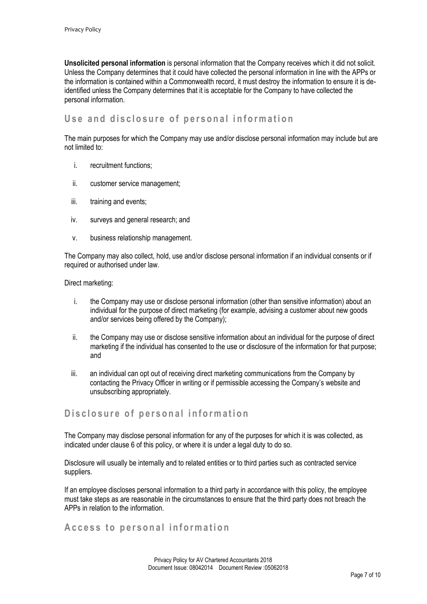**Unsolicited personal information** is personal information that the Company receives which it did not solicit. Unless the Company determines that it could have collected the personal information in line with the APPs or the information is contained within a Commonwealth record, it must destroy the information to ensure it is deidentified unless the Company determines that it is acceptable for the Company to have collected the personal information.

#### <span id="page-6-0"></span>Use and disclosure of personal information

The main purposes for which the Company may use and/or disclose personal information may include but are not limited to:

- i. recruitment functions;
- ii. customer service management;
- iii. training and events;
- iv. surveys and general research; and
- v. business relationship management.

The Company may also collect, hold, use and/or disclose personal information if an individual consents or if required or authorised under law.

Direct marketing:

- i. the Company may use or disclose personal information (other than sensitive information) about an individual for the purpose of direct marketing (for example, advising a customer about new goods and/or services being offered by the Company);
- ii. the Company may use or disclose sensitive information about an individual for the purpose of direct marketing if the individual has consented to the use or disclosure of the information for that purpose; and
- iii. an individual can opt out of receiving direct marketing communications from the Company by contacting the Privacy Officer in writing or if permissible accessing the Company's website and unsubscribing appropriately.

#### <span id="page-6-1"></span>**Disclosure of personal information**

The Company may disclose personal information for any of the purposes for which it is was collected, as indicated under clause 6 of this policy, or where it is under a legal duty to do so.

Disclosure will usually be internally and to related entities or to third parties such as contracted service suppliers.

If an employee discloses personal information to a third party in accordance with this policy, the employee must take steps as are reasonable in the circumstances to ensure that the third party does not breach the APPs in relation to the information.

#### <span id="page-6-2"></span>A c c e s s to personal information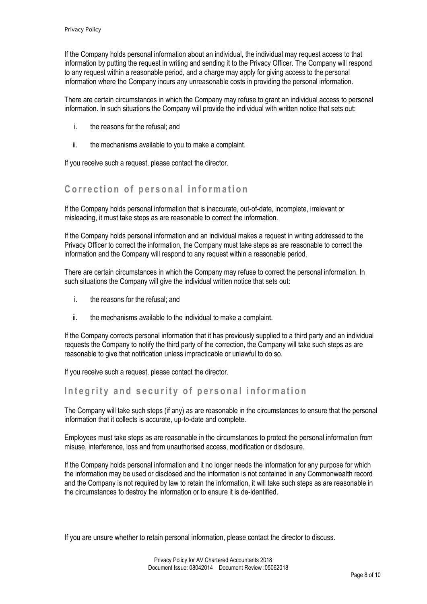If the Company holds personal information about an individual, the individual may request access to that information by putting the request in writing and sending it to the Privacy Officer. The Company will respond to any request within a reasonable period, and a charge may apply for giving access to the personal information where the Company incurs any unreasonable costs in providing the personal information.

There are certain circumstances in which the Company may refuse to grant an individual access to personal information. In such situations the Company will provide the individual with written notice that sets out:

- i. the reasons for the refusal; and
- ii. the mechanisms available to you to make a complaint.

If you receive such a request, please contact the director.

# <span id="page-7-0"></span>**Correction of personal information**

If the Company holds personal information that is inaccurate, out-of-date, incomplete, irrelevant or misleading, it must take steps as are reasonable to correct the information.

If the Company holds personal information and an individual makes a request in writing addressed to the Privacy Officer to correct the information, the Company must take steps as are reasonable to correct the information and the Company will respond to any request within a reasonable period.

There are certain circumstances in which the Company may refuse to correct the personal information. In such situations the Company will give the individual written notice that sets out:

- i. the reasons for the refusal; and
- ii. the mechanisms available to the individual to make a complaint.

If the Company corrects personal information that it has previously supplied to a third party and an individual requests the Company to notify the third party of the correction, the Company will take such steps as are reasonable to give that notification unless impracticable or unlawful to do so.

If you receive such a request, please contact the director.

## <span id="page-7-1"></span>Integrity and security of personal information

The Company will take such steps (if any) as are reasonable in the circumstances to ensure that the personal information that it collects is accurate, up-to-date and complete.

Employees must take steps as are reasonable in the circumstances to protect the personal information from misuse, interference, loss and from unauthorised access, modification or disclosure.

If the Company holds personal information and it no longer needs the information for any purpose for which the information may be used or disclosed and the information is not contained in any Commonwealth record and the Company is not required by law to retain the information, it will take such steps as are reasonable in the circumstances to destroy the information or to ensure it is de-identified.

If you are unsure whether to retain personal information, please contact the director to discuss.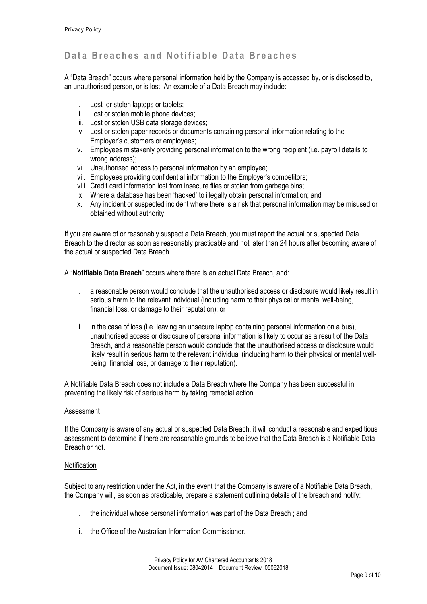# <span id="page-8-0"></span>Data Breaches and Notifiable Data Breaches

A "Data Breach" occurs where personal information held by the Company is accessed by, or is disclosed to, an unauthorised person, or is lost. An example of a Data Breach may include:

- i. Lost or stolen laptops or tablets;
- ii. Lost or stolen mobile phone devices;
- iii. Lost or stolen USB data storage devices:
- iv. Lost or stolen paper records or documents containing personal information relating to the Employer's customers or employees;
- v. Employees mistakenly providing personal information to the wrong recipient (i.e. payroll details to wrong address);
- vi. Unauthorised access to personal information by an employee;
- vii. Employees providing confidential information to the Employer's competitors;
- viii. Credit card information lost from insecure files or stolen from garbage bins;
- ix. Where a database has been 'hacked' to illegally obtain personal information; and
- x. Any incident or suspected incident where there is a risk that personal information may be misused or obtained without authority.

If you are aware of or reasonably suspect a Data Breach, you must report the actual or suspected Data Breach to the director as soon as reasonably practicable and not later than 24 hours after becoming aware of the actual or suspected Data Breach.

A "**Notifiable Data Breach**" occurs where there is an actual Data Breach, and:

- i. a reasonable person would conclude that the unauthorised access or disclosure would likely result in serious harm to the relevant individual (including harm to their physical or mental well-being, financial loss, or damage to their reputation); or
- ii. in the case of loss (i.e. leaving an unsecure laptop containing personal information on a bus), unauthorised access or disclosure of personal information is likely to occur as a result of the Data Breach, and a reasonable person would conclude that the unauthorised access or disclosure would likely result in serious harm to the relevant individual (including harm to their physical or mental wellbeing, financial loss, or damage to their reputation).

A Notifiable Data Breach does not include a Data Breach where the Company has been successful in preventing the likely risk of serious harm by taking remedial action.

#### Assessment

If the Company is aware of any actual or suspected Data Breach, it will conduct a reasonable and expeditious assessment to determine if there are reasonable grounds to believe that the Data Breach is a Notifiable Data Breach or not.

#### **Notification**

Subject to any restriction under the Act, in the event that the Company is aware of a Notifiable Data Breach, the Company will, as soon as practicable, prepare a statement outlining details of the breach and notify:

- i. the individual whose personal information was part of the Data Breach ; and
- ii. the Office of the Australian Information Commissioner.